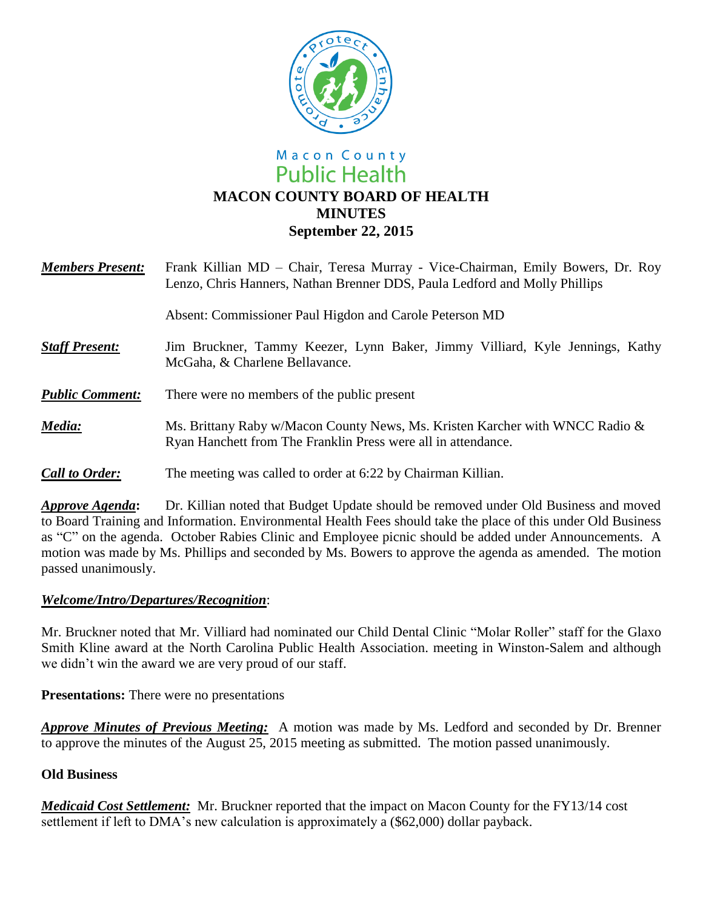

## Macon County **Public Health MACON COUNTY BOARD OF HEALTH MINUTES September 22, 2015**

| <b>Members Present:</b> | Frank Killian MD – Chair, Teresa Murray - Vice-Chairman, Emily Bowers, Dr. Roy<br>Lenzo, Chris Hanners, Nathan Brenner DDS, Paula Ledford and Molly Phillips |
|-------------------------|--------------------------------------------------------------------------------------------------------------------------------------------------------------|
|                         | Absent: Commissioner Paul Higdon and Carole Peterson MD                                                                                                      |
| <b>Staff Present:</b>   | Jim Bruckner, Tammy Keezer, Lynn Baker, Jimmy Villiard, Kyle Jennings, Kathy<br>McGaha, & Charlene Bellavance.                                               |
| <b>Public Comment:</b>  | There were no members of the public present                                                                                                                  |
| Media:                  | Ms. Brittany Raby w/Macon County News, Ms. Kristen Karcher with WNCC Radio &<br>Ryan Hanchett from The Franklin Press were all in attendance.                |
| <b>Call to Order:</b>   | The meeting was called to order at 6:22 by Chairman Killian.                                                                                                 |

*Approve Agenda***:** Dr. Killian noted that Budget Update should be removed under Old Business and moved to Board Training and Information. Environmental Health Fees should take the place of this under Old Business as "C" on the agenda. October Rabies Clinic and Employee picnic should be added under Announcements. A motion was made by Ms. Phillips and seconded by Ms. Bowers to approve the agenda as amended. The motion passed unanimously.

## *Welcome/Intro/Departures/Recognition*:

Mr. Bruckner noted that Mr. Villiard had nominated our Child Dental Clinic "Molar Roller" staff for the Glaxo Smith Kline award at the North Carolina Public Health Association. meeting in Winston-Salem and although we didn't win the award we are very proud of our staff.

**Presentations:** There were no presentations

*Approve Minutes of Previous Meeting:* A motion was made by Ms. Ledford and seconded by Dr. Brenner to approve the minutes of the August 25, 2015 meeting as submitted. The motion passed unanimously.

## **Old Business**

*Medicaid Cost Settlement:* Mr. Bruckner reported that the impact on Macon County for the FY13/14 cost settlement if left to DMA's new calculation is approximately a (\$62,000) dollar payback.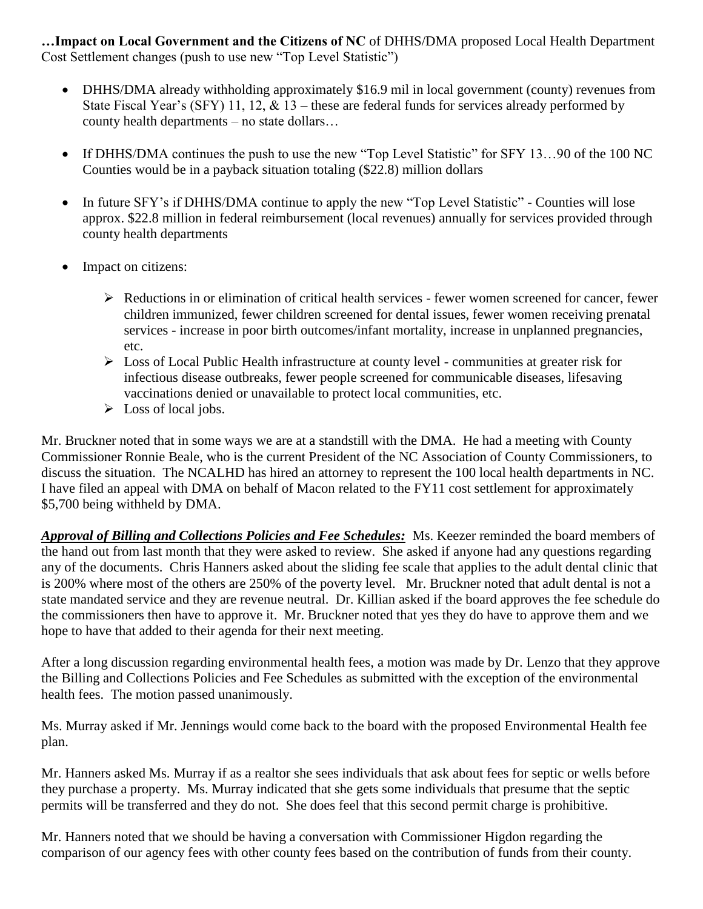**…Impact on Local Government and the Citizens of NC** of DHHS/DMA proposed Local Health Department Cost Settlement changes (push to use new "Top Level Statistic")

- DHHS/DMA already withholding approximately \$16.9 mil in local government (county) revenues from State Fiscal Year's (SFY) 11, 12,  $\&$  13 – these are federal funds for services already performed by county health departments – no state dollars…
- If DHHS/DMA continues the push to use the new "Top Level Statistic" for SFY 13...90 of the 100 NC Counties would be in a payback situation totaling (\$22.8) million dollars
- In future SFY's if DHHS/DMA continue to apply the new "Top Level Statistic" Counties will lose approx. \$22.8 million in federal reimbursement (local revenues) annually for services provided through county health departments
- Impact on citizens:
	- $\triangleright$  Reductions in or elimination of critical health services fewer women screened for cancer, fewer children immunized, fewer children screened for dental issues, fewer women receiving prenatal services - increase in poor birth outcomes/infant mortality, increase in unplanned pregnancies, etc.
	- Loss of Local Public Health infrastructure at county level communities at greater risk for infectious disease outbreaks, fewer people screened for communicable diseases, lifesaving vaccinations denied or unavailable to protect local communities, etc.
	- $\triangleright$  Loss of local jobs.

Mr. Bruckner noted that in some ways we are at a standstill with the DMA. He had a meeting with County Commissioner Ronnie Beale, who is the current President of the NC Association of County Commissioners, to discuss the situation. The NCALHD has hired an attorney to represent the 100 local health departments in NC. I have filed an appeal with DMA on behalf of Macon related to the FY11 cost settlement for approximately \$5,700 being withheld by DMA.

*Approval of Billing and Collections Policies and Fee Schedules:* Ms. Keezer reminded the board members of the hand out from last month that they were asked to review. She asked if anyone had any questions regarding any of the documents. Chris Hanners asked about the sliding fee scale that applies to the adult dental clinic that is 200% where most of the others are 250% of the poverty level. Mr. Bruckner noted that adult dental is not a state mandated service and they are revenue neutral. Dr. Killian asked if the board approves the fee schedule do the commissioners then have to approve it. Mr. Bruckner noted that yes they do have to approve them and we hope to have that added to their agenda for their next meeting.

After a long discussion regarding environmental health fees, a motion was made by Dr. Lenzo that they approve the Billing and Collections Policies and Fee Schedules as submitted with the exception of the environmental health fees. The motion passed unanimously.

Ms. Murray asked if Mr. Jennings would come back to the board with the proposed Environmental Health fee plan.

Mr. Hanners asked Ms. Murray if as a realtor she sees individuals that ask about fees for septic or wells before they purchase a property. Ms. Murray indicated that she gets some individuals that presume that the septic permits will be transferred and they do not. She does feel that this second permit charge is prohibitive.

Mr. Hanners noted that we should be having a conversation with Commissioner Higdon regarding the comparison of our agency fees with other county fees based on the contribution of funds from their county.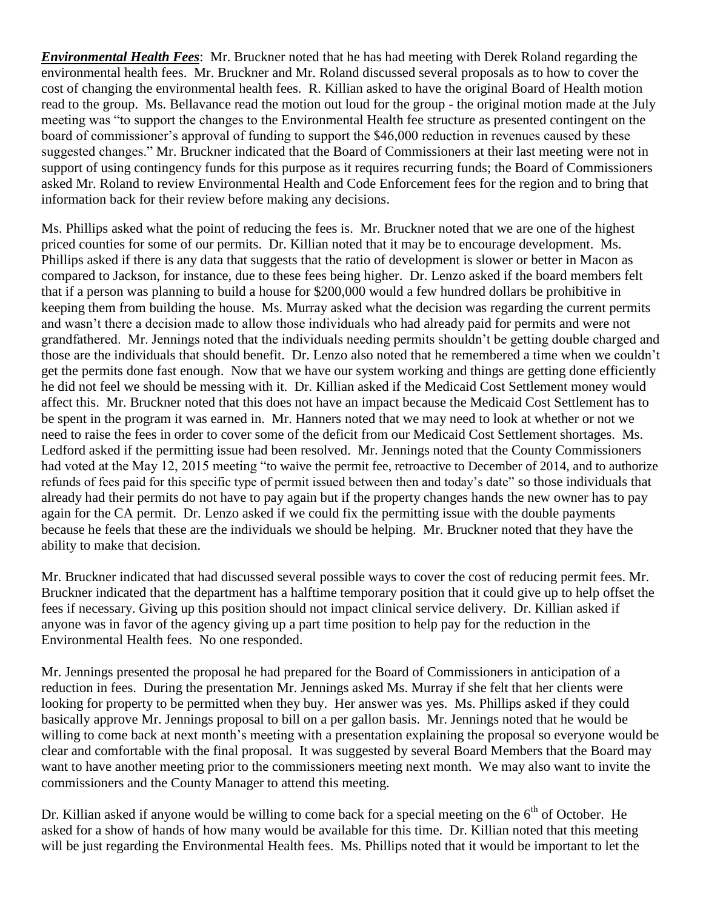*Environmental Health Fees*: Mr. Bruckner noted that he has had meeting with Derek Roland regarding the environmental health fees. Mr. Bruckner and Mr. Roland discussed several proposals as to how to cover the cost of changing the environmental health fees. R. Killian asked to have the original Board of Health motion read to the group. Ms. Bellavance read the motion out loud for the group - the original motion made at the July meeting was "to support the changes to the Environmental Health fee structure as presented contingent on the board of commissioner's approval of funding to support the \$46,000 reduction in revenues caused by these suggested changes." Mr. Bruckner indicated that the Board of Commissioners at their last meeting were not in support of using contingency funds for this purpose as it requires recurring funds; the Board of Commissioners asked Mr. Roland to review Environmental Health and Code Enforcement fees for the region and to bring that information back for their review before making any decisions.

Ms. Phillips asked what the point of reducing the fees is. Mr. Bruckner noted that we are one of the highest priced counties for some of our permits. Dr. Killian noted that it may be to encourage development. Ms. Phillips asked if there is any data that suggests that the ratio of development is slower or better in Macon as compared to Jackson, for instance, due to these fees being higher. Dr. Lenzo asked if the board members felt that if a person was planning to build a house for \$200,000 would a few hundred dollars be prohibitive in keeping them from building the house. Ms. Murray asked what the decision was regarding the current permits and wasn't there a decision made to allow those individuals who had already paid for permits and were not grandfathered. Mr. Jennings noted that the individuals needing permits shouldn't be getting double charged and those are the individuals that should benefit. Dr. Lenzo also noted that he remembered a time when we couldn't get the permits done fast enough. Now that we have our system working and things are getting done efficiently he did not feel we should be messing with it. Dr. Killian asked if the Medicaid Cost Settlement money would affect this. Mr. Bruckner noted that this does not have an impact because the Medicaid Cost Settlement has to be spent in the program it was earned in. Mr. Hanners noted that we may need to look at whether or not we need to raise the fees in order to cover some of the deficit from our Medicaid Cost Settlement shortages. Ms. Ledford asked if the permitting issue had been resolved. Mr. Jennings noted that the County Commissioners had voted at the May 12, 2015 meeting "to waive the permit fee, retroactive to December of 2014, and to authorize refunds of fees paid for this specific type of permit issued between then and today's date" so those individuals that already had their permits do not have to pay again but if the property changes hands the new owner has to pay again for the CA permit. Dr. Lenzo asked if we could fix the permitting issue with the double payments because he feels that these are the individuals we should be helping. Mr. Bruckner noted that they have the ability to make that decision.

Mr. Bruckner indicated that had discussed several possible ways to cover the cost of reducing permit fees. Mr. Bruckner indicated that the department has a halftime temporary position that it could give up to help offset the fees if necessary. Giving up this position should not impact clinical service delivery. Dr. Killian asked if anyone was in favor of the agency giving up a part time position to help pay for the reduction in the Environmental Health fees. No one responded.

Mr. Jennings presented the proposal he had prepared for the Board of Commissioners in anticipation of a reduction in fees. During the presentation Mr. Jennings asked Ms. Murray if she felt that her clients were looking for property to be permitted when they buy. Her answer was yes. Ms. Phillips asked if they could basically approve Mr. Jennings proposal to bill on a per gallon basis. Mr. Jennings noted that he would be willing to come back at next month's meeting with a presentation explaining the proposal so everyone would be clear and comfortable with the final proposal. It was suggested by several Board Members that the Board may want to have another meeting prior to the commissioners meeting next month. We may also want to invite the commissioners and the County Manager to attend this meeting.

Dr. Killian asked if anyone would be willing to come back for a special meeting on the  $6<sup>th</sup>$  of October. He asked for a show of hands of how many would be available for this time. Dr. Killian noted that this meeting will be just regarding the Environmental Health fees. Ms. Phillips noted that it would be important to let the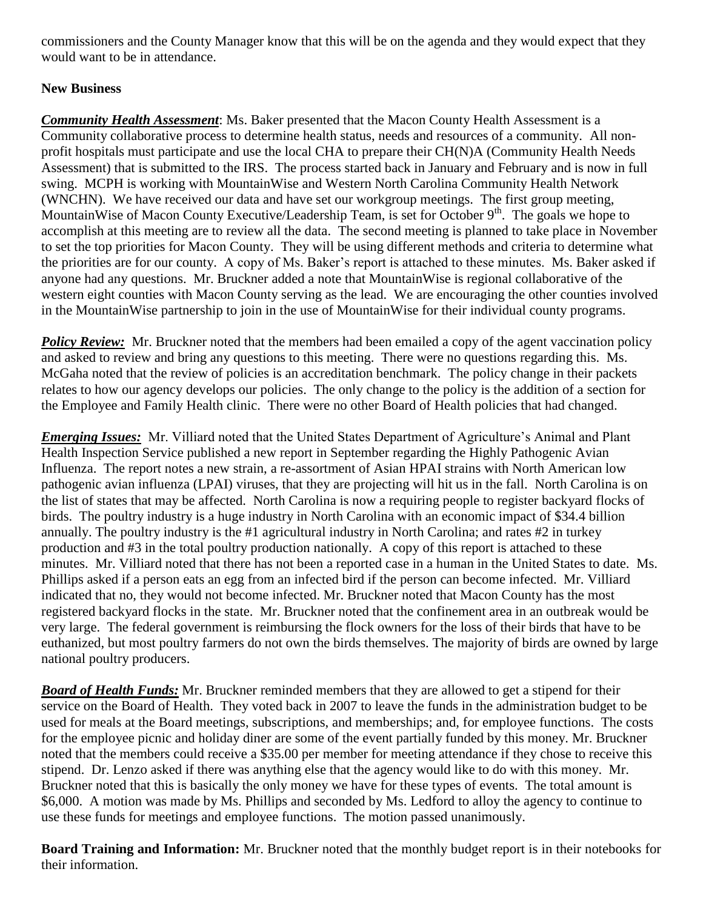commissioners and the County Manager know that this will be on the agenda and they would expect that they would want to be in attendance.

## **New Business**

*Community Health Assessment*: Ms. Baker presented that the Macon County Health Assessment is a Community collaborative process to determine health status, needs and resources of a community. All nonprofit hospitals must participate and use the local CHA to prepare their CH(N)A (Community Health Needs Assessment) that is submitted to the IRS. The process started back in January and February and is now in full swing. MCPH is working with MountainWise and Western North Carolina Community Health Network (WNCHN). We have received our data and have set our workgroup meetings. The first group meeting, MountainWise of Macon County Executive/Leadership Team, is set for October 9<sup>th</sup>. The goals we hope to accomplish at this meeting are to review all the data. The second meeting is planned to take place in November to set the top priorities for Macon County. They will be using different methods and criteria to determine what the priorities are for our county. A copy of Ms. Baker's report is attached to these minutes. Ms. Baker asked if anyone had any questions. Mr. Bruckner added a note that MountainWise is regional collaborative of the western eight counties with Macon County serving as the lead. We are encouraging the other counties involved in the MountainWise partnership to join in the use of MountainWise for their individual county programs.

*Policy Review:* Mr. Bruckner noted that the members had been emailed a copy of the agent vaccination policy and asked to review and bring any questions to this meeting. There were no questions regarding this. Ms. McGaha noted that the review of policies is an accreditation benchmark. The policy change in their packets relates to how our agency develops our policies. The only change to the policy is the addition of a section for the Employee and Family Health clinic. There were no other Board of Health policies that had changed.

*Emerging Issues:* Mr. Villiard noted that the United States Department of Agriculture's Animal and Plant Health Inspection Service published a new report in September regarding the Highly Pathogenic Avian Influenza. The report notes a new strain, a re-assortment of Asian HPAI strains with North American low pathogenic avian influenza (LPAI) viruses, that they are projecting will hit us in the fall. North Carolina is on the list of states that may be affected. North Carolina is now a requiring people to register backyard flocks of birds. The poultry industry is a huge industry in North Carolina with an economic impact of \$34.4 billion annually. The poultry industry is the #1 agricultural industry in North Carolina; and rates #2 in turkey production and #3 in the total poultry production nationally. A copy of this report is attached to these minutes. Mr. Villiard noted that there has not been a reported case in a human in the United States to date. Ms. Phillips asked if a person eats an egg from an infected bird if the person can become infected. Mr. Villiard indicated that no, they would not become infected. Mr. Bruckner noted that Macon County has the most registered backyard flocks in the state. Mr. Bruckner noted that the confinement area in an outbreak would be very large. The federal government is reimbursing the flock owners for the loss of their birds that have to be euthanized, but most poultry farmers do not own the birds themselves. The majority of birds are owned by large national poultry producers.

*Board of Health Funds:* Mr. Bruckner reminded members that they are allowed to get a stipend for their service on the Board of Health. They voted back in 2007 to leave the funds in the administration budget to be used for meals at the Board meetings, subscriptions, and memberships; and, for employee functions. The costs for the employee picnic and holiday diner are some of the event partially funded by this money. Mr. Bruckner noted that the members could receive a \$35.00 per member for meeting attendance if they chose to receive this stipend. Dr. Lenzo asked if there was anything else that the agency would like to do with this money. Mr. Bruckner noted that this is basically the only money we have for these types of events. The total amount is \$6,000. A motion was made by Ms. Phillips and seconded by Ms. Ledford to alloy the agency to continue to use these funds for meetings and employee functions. The motion passed unanimously.

**Board Training and Information:** Mr. Bruckner noted that the monthly budget report is in their notebooks for their information.